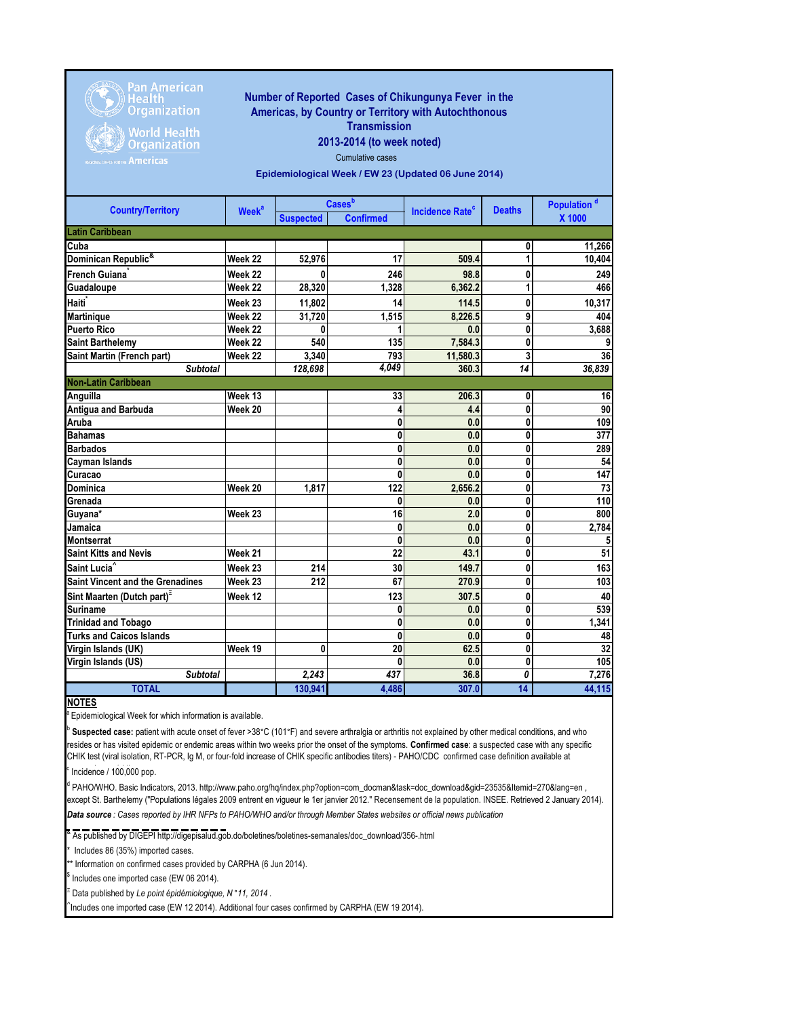

Pan American<br>Health Organization

**World Health Organization Americas** 

## **Number of Reported Cases of Chikungunya Fever in the Americas, by Country or Territory with Autochthonous Transmission**

## **2013-2014 (to week noted)**

Cumulative cases

**Epidemiological Week / EW 23 (Updated 06 June 2014)**

| <b>Country/Territory</b>                | <b>Week<sup>a</sup></b> | <b>Cases</b> b   |                  |                                   | <b>Deaths</b>   | Population <sup>d</sup> |
|-----------------------------------------|-------------------------|------------------|------------------|-----------------------------------|-----------------|-------------------------|
|                                         |                         | <b>Suspected</b> | <b>Confirmed</b> | <b>Incidence Rate<sup>c</sup></b> |                 | X 1000                  |
| <b>Latin Caribbean</b>                  |                         |                  |                  |                                   |                 |                         |
| Cuba                                    |                         |                  |                  |                                   | 0               | 11,266                  |
| Dominican Republic <sup>&amp;</sup>     | Week 22                 | 52,976           | 17               | 509.4                             | 1               | 10,404                  |
| French Guiana <sup>*</sup>              | Week 22                 | 0                | 246              | 98.8                              | 0               | 249                     |
| Guadaloupe                              | Week 22                 | 28,320           | 1,328            | 6,362.2                           | 1               | 466                     |
| Haiti <sup>*</sup>                      | Week 23                 | 11,802           | 14               | 114.5                             | 0               | 10,317                  |
| Martinique                              | Week 22                 | 31,720           | 1,515            | 8,226.5                           | 9               | 404                     |
| <b>Puerto Rico</b>                      | Week 22                 | 0                |                  | 0.0                               | 0               | 3,688                   |
| <b>Saint Barthelemy</b>                 | Week 22                 | 540              | 135              | 7,584.3                           | 0               | 9                       |
| Saint Martin (French part)              | Week 22                 | 3.340            | 793              | 11,580.3                          | 3               | 36                      |
| <b>Subtotal</b>                         |                         | 128,698          | 4,049            | 360.3                             | $\overline{14}$ | 36,839                  |
| <b>Non-Latin Caribbean</b>              |                         |                  |                  |                                   |                 |                         |
| Anguilla                                | Week 13                 |                  | 33               | 206.3                             | 0               | 16                      |
| Antigua and Barbuda                     | Week 20                 |                  | 4                | 4.4                               | 0               | 90                      |
| Aruba                                   |                         |                  | 0                | 0.0                               | 0               | 109                     |
| <b>Bahamas</b>                          |                         |                  | 0                | 0.0                               | 0               | 377                     |
| <b>Barbados</b>                         |                         |                  | 0                | 0.0                               | 0               | 289                     |
| <b>Cayman Islands</b>                   |                         |                  | 0                | 0.0                               | 0               | 54                      |
| Curacao                                 |                         |                  | $\mathbf{0}$     | 0.0                               | 0               | 147                     |
| <b>Dominica</b>                         | Week 20                 | 1.817            | 122              | 2,656.2                           | 0               | 73                      |
| Grenada                                 |                         |                  | 0                | 0.0                               | 0               | 110                     |
| Guyana*                                 | Week 23                 |                  | 16               | 2.0                               | 0               | 800                     |
| Jamaica                                 |                         |                  | 0                | 0.0                               | 0               | 2,784                   |
| <b>Montserrat</b>                       |                         |                  | 0                | 0.0                               | 0               | 5                       |
| <b>Saint Kitts and Nevis</b>            | Week 21                 |                  | 22               | 43.1                              | 0               | 51                      |
| Saint Lucia <sup>^</sup>                | Week 23                 | 214              | 30               | 149.7                             | 0               | 163                     |
| <b>Saint Vincent and the Grenadines</b> | Week 23                 | 212              | 67               | 270.9                             | 0               | 103                     |
| Sint Maarten (Dutch part) <sup>=</sup>  | Week 12                 |                  | 123              | 307.5                             | 0               | 40                      |
| <b>Suriname</b>                         |                         |                  | 0                | 0.0                               | 0               | 539                     |
| <b>Trinidad and Tobago</b>              |                         |                  | 0                | 0.0                               | 0               | 1,341                   |
| <b>Turks and Caicos Islands</b>         |                         |                  | 0                | 0.0                               | 0               | 48                      |
| Virgin Islands (UK)                     | Week 19                 | 0                | 20               | 62.5                              | 0               | 32                      |
| Virgin Islands (US)                     |                         |                  | $\bf{0}$         | 0.0                               | $\bf{0}$        | 105                     |
| <b>Subtotal</b>                         |                         | 2.243            | 437              | 36.8                              | 0               | 7,276                   |
| <b>TOTAL</b>                            |                         | 130,941          | 4.486            | 307.0                             | 14              | 44,115                  |

## **NOTES**

<sup>a</sup> Epidemiological Week for which information is available.

b **Suspected case:** patient with acute onset of fever >38°C (101°F) and severe arthralgia or arthritis not explained by other medical conditions, and who resides or has visited epidemic or endemic areas within two weeks prior the onset of the symptoms. **Confirmed case**: a suspected case with any specific CHIK test (viral isolation, RT-PCR, Ig M, or four-fold increase of CHIK specific antibodies titers) - PAHO/CDC confirmed case definition available at

c  $\textdegree$  Incidence / 100,000 pop.

*Data source : Cases reported by IHR NFPs to PAHO/WHO and/or through Member States websites or official news publication*  <sup>d</sup> PAHO/WHO. Basic Indicators, 2013. http://www.paho.org/hq/index.php?option=com\_docman&task=doc\_download&gid=23535&Itemid=270&lang=en , except St. Barthelemy ("Populations légales 2009 entrent en vigueur le 1er janvier 2012." Recensement de la population. INSEE. Retrieved 2 January 2014).

<sup>&</sup> As published by DIGEPI http://digepisalud.gob.do/boletines/boletines-semanales/doc\_download/356-.html

Includes 86 (35%) imported cases.

\*\* Information on confirmed cases provided by CARPHA (6 Jun 2014).

\$ Includes one imported case (EW 06 2014).

Ξ Data published by *Le point épidémiologique, N* °*11, 2014* .

 $\hat{}$ Includes one imported case (EW 12 2014). Additional four cases confirmed by CARPHA (EW 19 2014).